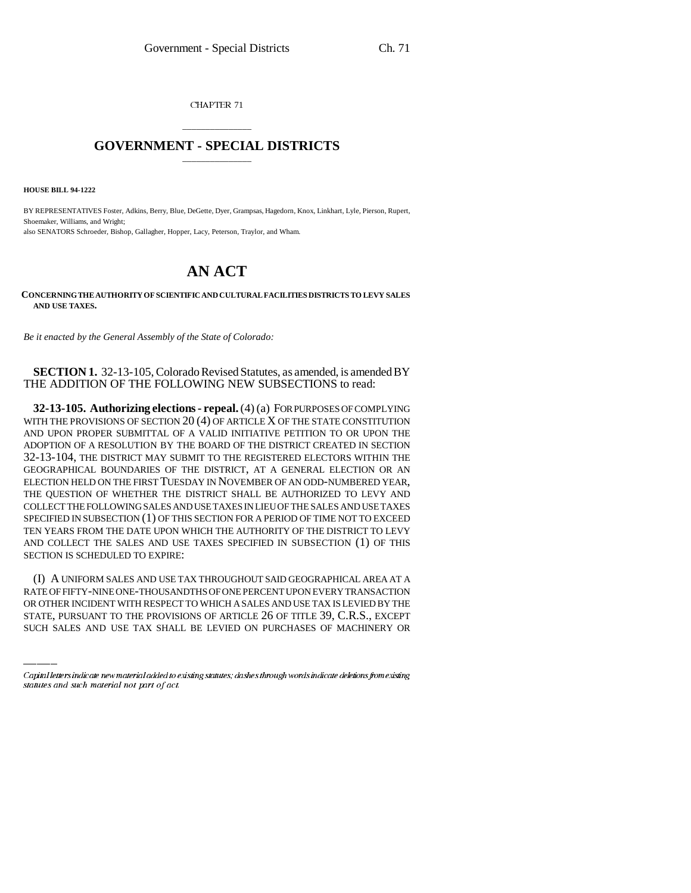CHAPTER 71

## \_\_\_\_\_\_\_\_\_\_\_\_\_\_\_ **GOVERNMENT - SPECIAL DISTRICTS** \_\_\_\_\_\_\_\_\_\_\_\_\_\_\_

**HOUSE BILL 94-1222**

BY REPRESENTATIVES Foster, Adkins, Berry, Blue, DeGette, Dyer, Grampsas, Hagedorn, Knox, Linkhart, Lyle, Pierson, Rupert, Shoemaker, Williams, and Wright; also SENATORS Schroeder, Bishop, Gallagher, Hopper, Lacy, Peterson, Traylor, and Wham.

# **AN ACT**

#### **CONCERNING THE AUTHORITY OF SCIENTIFIC AND CULTURAL FACILITIES DISTRICTS TO LEVY SALES AND USE TAXES.**

*Be it enacted by the General Assembly of the State of Colorado:*

### **SECTION 1.** 32-13-105, Colorado Revised Statutes, as amended, is amended BY THE ADDITION OF THE FOLLOWING NEW SUBSECTIONS to read:

**32-13-105. Authorizing elections - repeal.** (4) (a) FOR PURPOSES OF COMPLYING WITH THE PROVISIONS OF SECTION 20 (4) OF ARTICLE X OF THE STATE CONSTITUTION AND UPON PROPER SUBMITTAL OF A VALID INITIATIVE PETITION TO OR UPON THE ADOPTION OF A RESOLUTION BY THE BOARD OF THE DISTRICT CREATED IN SECTION 32-13-104, THE DISTRICT MAY SUBMIT TO THE REGISTERED ELECTORS WITHIN THE GEOGRAPHICAL BOUNDARIES OF THE DISTRICT, AT A GENERAL ELECTION OR AN ELECTION HELD ON THE FIRST TUESDAY IN NOVEMBER OF AN ODD-NUMBERED YEAR, THE QUESTION OF WHETHER THE DISTRICT SHALL BE AUTHORIZED TO LEVY AND COLLECT THE FOLLOWING SALES AND USE TAXES IN LIEU OF THE SALES AND USE TAXES SPECIFIED IN SUBSECTION (1) OF THIS SECTION FOR A PERIOD OF TIME NOT TO EXCEED TEN YEARS FROM THE DATE UPON WHICH THE AUTHORITY OF THE DISTRICT TO LEVY AND COLLECT THE SALES AND USE TAXES SPECIFIED IN SUBSECTION (1) OF THIS SECTION IS SCHEDULED TO EXPIRE:

(I) A UNIFORM SALES AND USE TAX THROUGHOUT SAID GEOGRAPHICAL AREA AT A RATE OF FIFTY-NINE ONE-THOUSANDTHS OF ONE PERCENT UPON EVERY TRANSACTION OR OTHER INCIDENT WITH RESPECT TO WHICH A SALES AND USE TAX IS LEVIED BY THE STATE, PURSUANT TO THE PROVISIONS OF ARTICLE 26 OF TITLE 39, C.R.S., EXCEPT SUCH SALES AND USE TAX SHALL BE LEVIED ON PURCHASES OF MACHINERY OR

Capital letters indicate new material added to existing statutes; dashes through words indicate deletions from existing statutes and such material not part of act.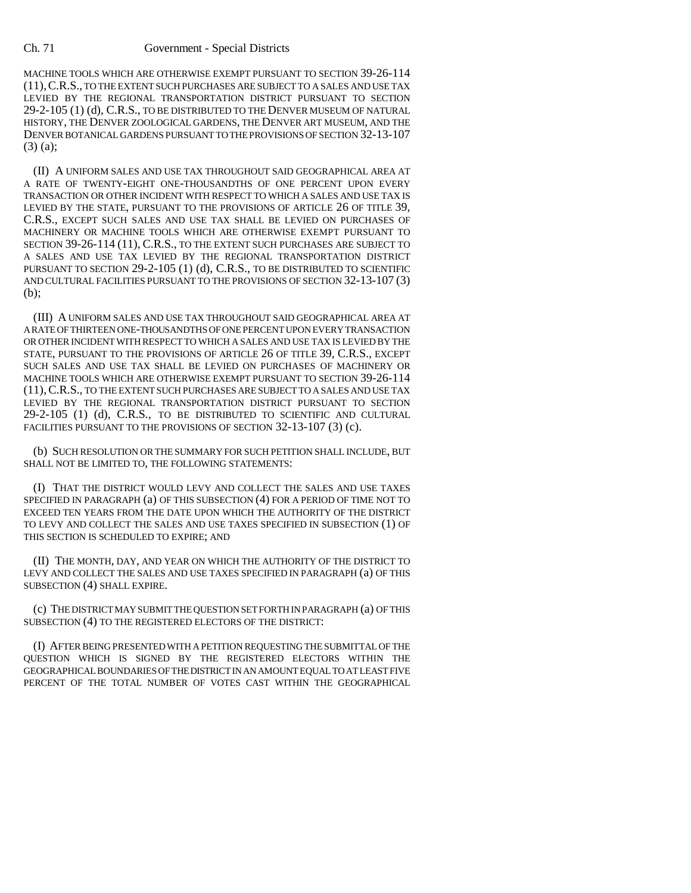#### Ch. 71 Government - Special Districts

MACHINE TOOLS WHICH ARE OTHERWISE EXEMPT PURSUANT TO SECTION 39-26-114 (11),C.R.S., TO THE EXTENT SUCH PURCHASES ARE SUBJECT TO A SALES AND USE TAX LEVIED BY THE REGIONAL TRANSPORTATION DISTRICT PURSUANT TO SECTION 29-2-105 (1) (d), C.R.S., TO BE DISTRIBUTED TO THE DENVER MUSEUM OF NATURAL HISTORY, THE DENVER ZOOLOGICAL GARDENS, THE DENVER ART MUSEUM, AND THE DENVER BOTANICAL GARDENS PURSUANT TO THE PROVISIONS OF SECTION 32-13-107 (3) (a);

(II) A UNIFORM SALES AND USE TAX THROUGHOUT SAID GEOGRAPHICAL AREA AT A RATE OF TWENTY-EIGHT ONE-THOUSANDTHS OF ONE PERCENT UPON EVERY TRANSACTION OR OTHER INCIDENT WITH RESPECT TO WHICH A SALES AND USE TAX IS LEVIED BY THE STATE, PURSUANT TO THE PROVISIONS OF ARTICLE 26 OF TITLE 39, C.R.S., EXCEPT SUCH SALES AND USE TAX SHALL BE LEVIED ON PURCHASES OF MACHINERY OR MACHINE TOOLS WHICH ARE OTHERWISE EXEMPT PURSUANT TO SECTION 39-26-114 (11), C.R.S., TO THE EXTENT SUCH PURCHASES ARE SUBJECT TO A SALES AND USE TAX LEVIED BY THE REGIONAL TRANSPORTATION DISTRICT PURSUANT TO SECTION 29-2-105 (1) (d), C.R.S., TO BE DISTRIBUTED TO SCIENTIFIC AND CULTURAL FACILITIES PURSUANT TO THE PROVISIONS OF SECTION 32-13-107 (3) (b);

(III) A UNIFORM SALES AND USE TAX THROUGHOUT SAID GEOGRAPHICAL AREA AT A RATE OF THIRTEEN ONE-THOUSANDTHS OF ONE PERCENT UPON EVERY TRANSACTION OR OTHER INCIDENT WITH RESPECT TO WHICH A SALES AND USE TAX IS LEVIED BY THE STATE, PURSUANT TO THE PROVISIONS OF ARTICLE 26 OF TITLE 39, C.R.S., EXCEPT SUCH SALES AND USE TAX SHALL BE LEVIED ON PURCHASES OF MACHINERY OR MACHINE TOOLS WHICH ARE OTHERWISE EXEMPT PURSUANT TO SECTION 39-26-114 (11),C.R.S., TO THE EXTENT SUCH PURCHASES ARE SUBJECT TO A SALES AND USE TAX LEVIED BY THE REGIONAL TRANSPORTATION DISTRICT PURSUANT TO SECTION 29-2-105 (1) (d), C.R.S., TO BE DISTRIBUTED TO SCIENTIFIC AND CULTURAL FACILITIES PURSUANT TO THE PROVISIONS OF SECTION 32-13-107 (3) (c).

(b) SUCH RESOLUTION OR THE SUMMARY FOR SUCH PETITION SHALL INCLUDE, BUT SHALL NOT BE LIMITED TO, THE FOLLOWING STATEMENTS:

(I) THAT THE DISTRICT WOULD LEVY AND COLLECT THE SALES AND USE TAXES SPECIFIED IN PARAGRAPH (a) OF THIS SUBSECTION (4) FOR A PERIOD OF TIME NOT TO EXCEED TEN YEARS FROM THE DATE UPON WHICH THE AUTHORITY OF THE DISTRICT TO LEVY AND COLLECT THE SALES AND USE TAXES SPECIFIED IN SUBSECTION (1) OF THIS SECTION IS SCHEDULED TO EXPIRE; AND

(II) THE MONTH, DAY, AND YEAR ON WHICH THE AUTHORITY OF THE DISTRICT TO LEVY AND COLLECT THE SALES AND USE TAXES SPECIFIED IN PARAGRAPH (a) OF THIS SUBSECTION (4) SHALL EXPIRE.

(c) THE DISTRICT MAY SUBMIT THE QUESTION SET FORTH IN PARAGRAPH (a) OF THIS SUBSECTION (4) TO THE REGISTERED ELECTORS OF THE DISTRICT:

(I) AFTER BEING PRESENTED WITH A PETITION REQUESTING THE SUBMITTAL OF THE QUESTION WHICH IS SIGNED BY THE REGISTERED ELECTORS WITHIN THE GEOGRAPHICAL BOUNDARIES OF THE DISTRICT IN AN AMOUNT EQUAL TO AT LEAST FIVE PERCENT OF THE TOTAL NUMBER OF VOTES CAST WITHIN THE GEOGRAPHICAL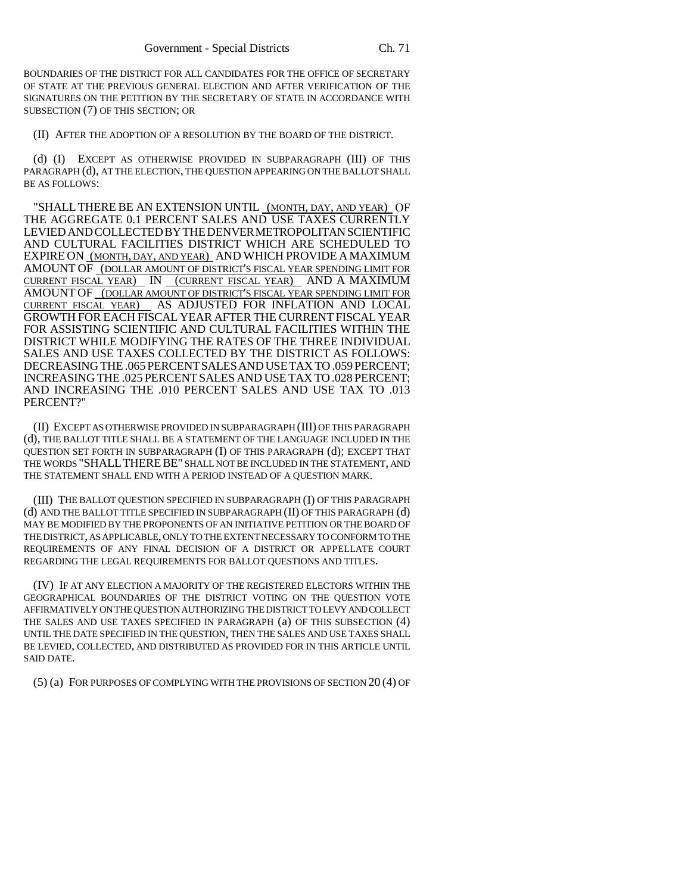BOUNDARIES OF THE DISTRICT FOR ALL CANDIDATES FOR THE OFFICE OF SECRETARY OF STATE AT THE PREVIOUS GENERAL ELECTION AND AFTER VERIFICATION OF THE SIGNATURES ON THE PETITION BY THE SECRETARY OF STATE IN ACCORDANCE WITH SUBSECTION (7) OF THIS SECTION; OR

(II) AFTER THE ADOPTION OF A RESOLUTION BY THE BOARD OF THE DISTRICT.

(d) (I) EXCEPT AS OTHERWISE PROVIDED IN SUBPARAGRAPH (III) OF THIS PARAGRAPH (d), AT THE ELECTION, THE QUESTION APPEARING ON THE BALLOT SHALL BE AS FOLLOWS:

"SHALL THERE BE AN EXTENSION UNTIL (MONTH, DAY, AND YEAR) OF THE AGGREGATE 0.1 PERCENT SALES AND USE TAXES CURRENTLY LEVIEDANDCOLLECTEDBYTHEDENVERMETROPOLITANSCIENTIFIC AND CULTURAL FACILITIES DISTRICT WHICH ARE SCHEDULED TO EXPIRE ON (MONTH, DAY, AND YEAR) AND WHICH PROVIDE A MAXIMUM AMOUNT OF (DOLLAR AMOUNT OF DISTRICT'S FISCAL YEAR SPENDING LIMIT FOR CURRENT FISCAL YEAR) IN (CURRENT FISCAL YEAR) AND A MAXIMUM AMOUNT OF (DOLLAR AMOUNT OF DISTRICT'S FISCAL YEAR SPENDING LIMIT FOR CURRENT FISCAL YEAR) AS ADJUSTED FOR INFLATION AND LOCAL GROWTH FOR EACH FISCAL YEAR AFTER THE CURRENT FISCAL YEAR FOR ASSISTING SCIENTIFIC AND CULTURAL FACILITIES WITHIN THE DISTRICT WHILE MODIFYING THE RATES OF THE THREE INDIVIDUAL SALES AND USE TAXES COLLECTED BY THE DISTRICT AS FOLLOWS: DECREASING THE .065 PERCENT SALES AND USE TAX TO .059 PERCENT; INCREASING THE .025 PERCENTSALES AND USE TAX TO.028 PERCENT; AND INCREASING THE .010 PERCENT SALES AND USE TAX TO .013 PERCENT?"

(II) EXCEPT AS OTHERWISE PROVIDED IN SUBPARAGRAPH (III) OF THIS PARAGRAPH (d), THE BALLOT TITLE SHALL BE A STATEMENT OF THE LANGUAGE INCLUDED IN THE QUESTION SET FORTH IN SUBPARAGRAPH (I) OF THIS PARAGRAPH (d); EXCEPT THAT THE WORDS "SHALL THERE BE" SHALL NOT BE INCLUDED IN THE STATEMENT, AND THE STATEMENT SHALL END WITH A PERIOD INSTEAD OF A QUESTION MARK.

(III) THE BALLOT QUESTION SPECIFIED IN SUBPARAGRAPH (I) OF THIS PARAGRAPH (d) AND THE BALLOT TITLE SPECIFIED IN SUBPARAGRAPH (II) OF THIS PARAGRAPH (d) MAY BE MODIFIED BY THE PROPONENTS OF AN INITIATIVE PETITION OR THE BOARD OF THE DISTRICT, AS APPLICABLE, ONLY TO THE EXTENT NECESSARY TO CONFORM TO THE REQUIREMENTS OF ANY FINAL DECISION OF A DISTRICT OR APPELLATE COURT REGARDING THE LEGAL REQUIREMENTS FOR BALLOT QUESTIONS AND TITLES.

(IV) IF AT ANY ELECTION A MAJORITY OF THE REGISTERED ELECTORS WITHIN THE GEOGRAPHICAL BOUNDARIES OF THE DISTRICT VOTING ON THE QUESTION VOTE AFFIRMATIVELY ON THE QUESTION AUTHORIZING THE DISTRICT TO LEVY AND COLLECT THE SALES AND USE TAXES SPECIFIED IN PARAGRAPH (a) OF THIS SUBSECTION (4) UNTIL THE DATE SPECIFIED IN THE QUESTION, THEN THE SALES AND USE TAXES SHALL BE LEVIED, COLLECTED, AND DISTRIBUTED AS PROVIDED FOR IN THIS ARTICLE UNTIL SAID DATE.

(5) (a) FOR PURPOSES OF COMPLYING WITH THE PROVISIONS OF SECTION 20 (4) OF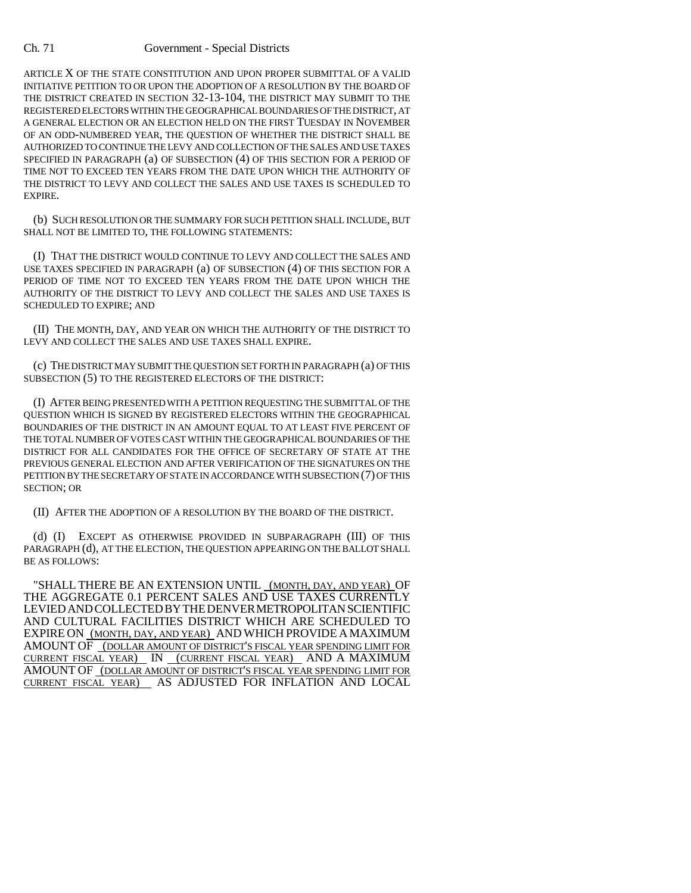ARTICLE X OF THE STATE CONSTITUTION AND UPON PROPER SUBMITTAL OF A VALID INITIATIVE PETITION TO OR UPON THE ADOPTION OF A RESOLUTION BY THE BOARD OF THE DISTRICT CREATED IN SECTION 32-13-104, THE DISTRICT MAY SUBMIT TO THE REGISTERED ELECTORS WITHIN THE GEOGRAPHICAL BOUNDARIES OF THE DISTRICT, AT A GENERAL ELECTION OR AN ELECTION HELD ON THE FIRST TUESDAY IN NOVEMBER OF AN ODD-NUMBERED YEAR, THE QUESTION OF WHETHER THE DISTRICT SHALL BE AUTHORIZED TO CONTINUE THE LEVY AND COLLECTION OF THE SALES AND USE TAXES SPECIFIED IN PARAGRAPH (a) OF SUBSECTION (4) OF THIS SECTION FOR A PERIOD OF TIME NOT TO EXCEED TEN YEARS FROM THE DATE UPON WHICH THE AUTHORITY OF THE DISTRICT TO LEVY AND COLLECT THE SALES AND USE TAXES IS SCHEDULED TO EXPIRE.

(b) SUCH RESOLUTION OR THE SUMMARY FOR SUCH PETITION SHALL INCLUDE, BUT SHALL NOT BE LIMITED TO, THE FOLLOWING STATEMENTS:

(I) THAT THE DISTRICT WOULD CONTINUE TO LEVY AND COLLECT THE SALES AND USE TAXES SPECIFIED IN PARAGRAPH (a) OF SUBSECTION (4) OF THIS SECTION FOR A PERIOD OF TIME NOT TO EXCEED TEN YEARS FROM THE DATE UPON WHICH THE AUTHORITY OF THE DISTRICT TO LEVY AND COLLECT THE SALES AND USE TAXES IS SCHEDULED TO EXPIRE; AND

(II) THE MONTH, DAY, AND YEAR ON WHICH THE AUTHORITY OF THE DISTRICT TO LEVY AND COLLECT THE SALES AND USE TAXES SHALL EXPIRE.

(c) THE DISTRICT MAY SUBMIT THE QUESTION SET FORTH IN PARAGRAPH (a) OF THIS SUBSECTION (5) TO THE REGISTERED ELECTORS OF THE DISTRICT:

(I) AFTER BEING PRESENTED WITH A PETITION REQUESTING THE SUBMITTAL OF THE QUESTION WHICH IS SIGNED BY REGISTERED ELECTORS WITHIN THE GEOGRAPHICAL BOUNDARIES OF THE DISTRICT IN AN AMOUNT EQUAL TO AT LEAST FIVE PERCENT OF THE TOTAL NUMBER OF VOTES CAST WITHIN THE GEOGRAPHICAL BOUNDARIES OF THE DISTRICT FOR ALL CANDIDATES FOR THE OFFICE OF SECRETARY OF STATE AT THE PREVIOUS GENERAL ELECTION AND AFTER VERIFICATION OF THE SIGNATURES ON THE PETITION BY THE SECRETARY OF STATE IN ACCORDANCE WITH SUBSECTION (7) OF THIS SECTION; OR

(II) AFTER THE ADOPTION OF A RESOLUTION BY THE BOARD OF THE DISTRICT.

(d) (I) EXCEPT AS OTHERWISE PROVIDED IN SUBPARAGRAPH (III) OF THIS PARAGRAPH (d), AT THE ELECTION, THE QUESTION APPEARING ON THE BALLOT SHALL BE AS FOLLOWS:

"SHALL THERE BE AN EXTENSION UNTIL (MONTH, DAY, AND YEAR) OF THE AGGREGATE 0.1 PERCENT SALES AND USE TAXES CURRENTLY LEVIEDANDCOLLECTEDBYTHEDENVERMETROPOLITANSCIENTIFIC AND CULTURAL FACILITIES DISTRICT WHICH ARE SCHEDULED TO EXPIRE ON (MONTH, DAY, AND YEAR) AND WHICH PROVIDE AMAXIMUM AMOUNT OF (DOLLAR AMOUNT OF DISTRICT'S FISCAL YEAR SPENDING LIMIT FOR CURRENT FISCAL YEAR) IN (CURRENT FISCAL YEAR) AND A MAXIMUM AMOUNT OF (DOLLAR AMOUNT OF DISTRICT'S FISCAL YEAR SPENDING LIMIT FOR CURRENT FISCAL YEAR) AS ADJUSTED FOR INFLATION AND LOCAL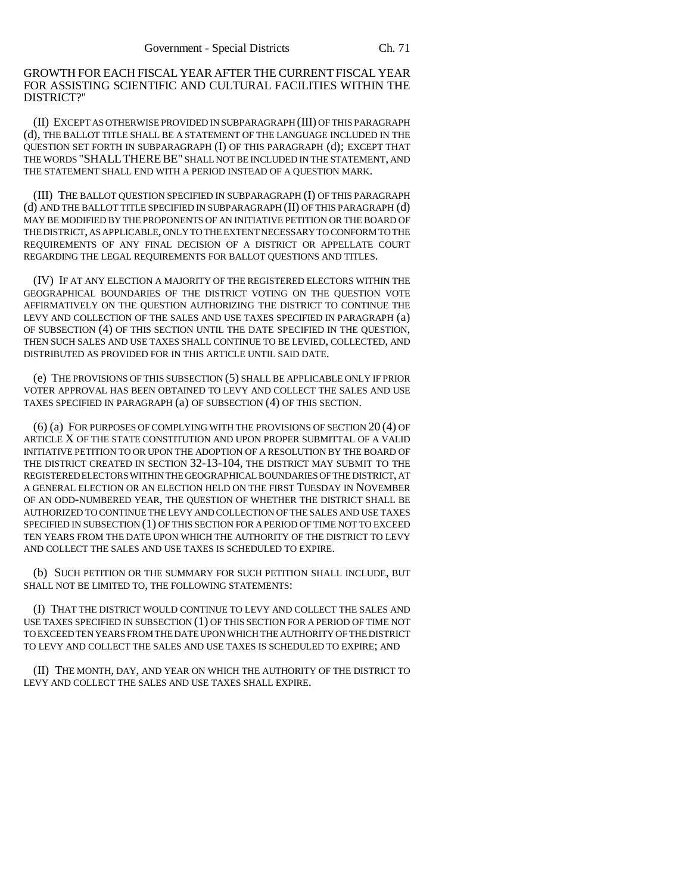GROWTH FOR EACH FISCAL YEAR AFTER THE CURRENT FISCAL YEAR FOR ASSISTING SCIENTIFIC AND CULTURAL FACILITIES WITHIN THE DISTRICT?"

(II) EXCEPT AS OTHERWISE PROVIDED IN SUBPARAGRAPH (III) OF THIS PARAGRAPH (d), THE BALLOT TITLE SHALL BE A STATEMENT OF THE LANGUAGE INCLUDED IN THE QUESTION SET FORTH IN SUBPARAGRAPH (I) OF THIS PARAGRAPH (d); EXCEPT THAT THE WORDS "SHALLTHEREBE" SHALL NOT BE INCLUDED IN THE STATEMENT, AND THE STATEMENT SHALL END WITH A PERIOD INSTEAD OF A QUESTION MARK.

(III) THE BALLOT QUESTION SPECIFIED IN SUBPARAGRAPH (I) OF THIS PARAGRAPH (d) AND THE BALLOT TITLE SPECIFIED IN SUBPARAGRAPH (II) OF THIS PARAGRAPH (d) MAY BE MODIFIED BY THE PROPONENTS OF AN INITIATIVE PETITION OR THE BOARD OF THE DISTRICT, AS APPLICABLE, ONLY TO THE EXTENT NECESSARY TO CONFORM TO THE REQUIREMENTS OF ANY FINAL DECISION OF A DISTRICT OR APPELLATE COURT REGARDING THE LEGAL REQUIREMENTS FOR BALLOT QUESTIONS AND TITLES.

(IV) IF AT ANY ELECTION A MAJORITY OF THE REGISTERED ELECTORS WITHIN THE GEOGRAPHICAL BOUNDARIES OF THE DISTRICT VOTING ON THE QUESTION VOTE AFFIRMATIVELY ON THE QUESTION AUTHORIZING THE DISTRICT TO CONTINUE THE LEVY AND COLLECTION OF THE SALES AND USE TAXES SPECIFIED IN PARAGRAPH (a) OF SUBSECTION (4) OF THIS SECTION UNTIL THE DATE SPECIFIED IN THE QUESTION, THEN SUCH SALES AND USE TAXES SHALL CONTINUE TO BE LEVIED, COLLECTED, AND DISTRIBUTED AS PROVIDED FOR IN THIS ARTICLE UNTIL SAID DATE.

(e) THE PROVISIONS OF THIS SUBSECTION (5) SHALL BE APPLICABLE ONLY IF PRIOR VOTER APPROVAL HAS BEEN OBTAINED TO LEVY AND COLLECT THE SALES AND USE TAXES SPECIFIED IN PARAGRAPH (a) OF SUBSECTION (4) OF THIS SECTION.

(6) (a) FOR PURPOSES OF COMPLYING WITH THE PROVISIONS OF SECTION 20 (4) OF ARTICLE X OF THE STATE CONSTITUTION AND UPON PROPER SUBMITTAL OF A VALID INITIATIVE PETITION TO OR UPON THE ADOPTION OF A RESOLUTION BY THE BOARD OF THE DISTRICT CREATED IN SECTION 32-13-104, THE DISTRICT MAY SUBMIT TO THE REGISTERED ELECTORS WITHIN THE GEOGRAPHICAL BOUNDARIES OF THE DISTRICT, AT A GENERAL ELECTION OR AN ELECTION HELD ON THE FIRST TUESDAY IN NOVEMBER OF AN ODD-NUMBERED YEAR, THE QUESTION OF WHETHER THE DISTRICT SHALL BE AUTHORIZED TO CONTINUE THE LEVY AND COLLECTION OF THE SALES AND USE TAXES SPECIFIED IN SUBSECTION (1) OF THIS SECTION FOR A PERIOD OF TIME NOT TO EXCEED TEN YEARS FROM THE DATE UPON WHICH THE AUTHORITY OF THE DISTRICT TO LEVY AND COLLECT THE SALES AND USE TAXES IS SCHEDULED TO EXPIRE.

(b) SUCH PETITION OR THE SUMMARY FOR SUCH PETITION SHALL INCLUDE, BUT SHALL NOT BE LIMITED TO, THE FOLLOWING STATEMENTS:

(I) THAT THE DISTRICT WOULD CONTINUE TO LEVY AND COLLECT THE SALES AND USE TAXES SPECIFIED IN SUBSECTION (1) OF THIS SECTION FOR A PERIOD OF TIME NOT TO EXCEED TEN YEARS FROM THE DATE UPON WHICH THE AUTHORITY OF THE DISTRICT TO LEVY AND COLLECT THE SALES AND USE TAXES IS SCHEDULED TO EXPIRE; AND

(II) THE MONTH, DAY, AND YEAR ON WHICH THE AUTHORITY OF THE DISTRICT TO LEVY AND COLLECT THE SALES AND USE TAXES SHALL EXPIRE.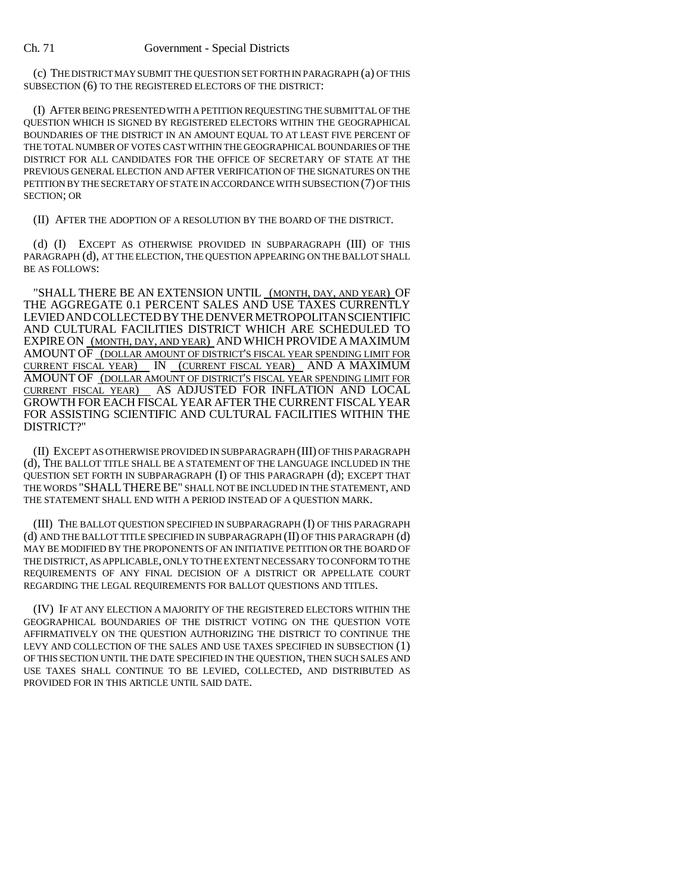(c) THE DISTRICT MAY SUBMIT THE QUESTION SET FORTH IN PARAGRAPH (a) OF THIS SUBSECTION (6) TO THE REGISTERED ELECTORS OF THE DISTRICT:

(I) AFTER BEING PRESENTED WITH A PETITION REQUESTING THE SUBMITTAL OF THE QUESTION WHICH IS SIGNED BY REGISTERED ELECTORS WITHIN THE GEOGRAPHICAL BOUNDARIES OF THE DISTRICT IN AN AMOUNT EQUAL TO AT LEAST FIVE PERCENT OF THE TOTAL NUMBER OF VOTES CAST WITHIN THE GEOGRAPHICAL BOUNDARIES OF THE DISTRICT FOR ALL CANDIDATES FOR THE OFFICE OF SECRETARY OF STATE AT THE PREVIOUS GENERAL ELECTION AND AFTER VERIFICATION OF THE SIGNATURES ON THE PETITION BY THE SECRETARY OF STATE IN ACCORDANCE WITH SUBSECTION (7) OF THIS SECTION; OR

(II) AFTER THE ADOPTION OF A RESOLUTION BY THE BOARD OF THE DISTRICT.

(d) (I) EXCEPT AS OTHERWISE PROVIDED IN SUBPARAGRAPH (III) OF THIS PARAGRAPH (d), AT THE ELECTION, THE QUESTION APPEARING ON THE BALLOT SHALL BE AS FOLLOWS:

"SHALL THERE BE AN EXTENSION UNTIL (MONTH, DAY, AND YEAR) OF THE AGGREGATE 0.1 PERCENT SALES AND USE TAXES CURRENTLY LEVIEDANDCOLLECTEDBYTHEDENVERMETROPOLITANSCIENTIFIC AND CULTURAL FACILITIES DISTRICT WHICH ARE SCHEDULED TO EXPIRE ON (MONTH, DAY, AND YEAR) AND WHICH PROVIDE AMAXIMUM AMOUNT OF (DOLLAR AMOUNT OF DISTRICT'S FISCAL YEAR SPENDING LIMIT FOR CURRENT FISCAL YEAR) IN (CURRENT FISCAL YEAR) AND A MAXIMUM AMOUNT OF (DOLLAR AMOUNT OF DISTRICT'S FISCAL YEAR SPENDING LIMIT FOR CURRENT FISCAL YEAR) AS ADJUSTED FOR INFLATION AND LOCAL GROWTH FOR EACH FISCAL YEAR AFTER THE CURRENT FISCAL YEAR FOR ASSISTING SCIENTIFIC AND CULTURAL FACILITIES WITHIN THE DISTRICT?"

(II) EXCEPT AS OTHERWISE PROVIDED IN SUBPARAGRAPH (III) OF THIS PARAGRAPH (d), THE BALLOT TITLE SHALL BE A STATEMENT OF THE LANGUAGE INCLUDED IN THE QUESTION SET FORTH IN SUBPARAGRAPH (I) OF THIS PARAGRAPH (d); EXCEPT THAT THE WORDS "SHALLTHEREBE" SHALL NOT BE INCLUDED IN THE STATEMENT, AND THE STATEMENT SHALL END WITH A PERIOD INSTEAD OF A QUESTION MARK.

(III) THE BALLOT QUESTION SPECIFIED IN SUBPARAGRAPH (I) OF THIS PARAGRAPH (d) AND THE BALLOT TITLE SPECIFIED IN SUBPARAGRAPH (II) OF THIS PARAGRAPH (d) MAY BE MODIFIED BY THE PROPONENTS OF AN INITIATIVE PETITION OR THE BOARD OF THE DISTRICT, AS APPLICABLE, ONLY TO THE EXTENT NECESSARY TO CONFORM TO THE REQUIREMENTS OF ANY FINAL DECISION OF A DISTRICT OR APPELLATE COURT REGARDING THE LEGAL REQUIREMENTS FOR BALLOT QUESTIONS AND TITLES.

(IV) IF AT ANY ELECTION A MAJORITY OF THE REGISTERED ELECTORS WITHIN THE GEOGRAPHICAL BOUNDARIES OF THE DISTRICT VOTING ON THE QUESTION VOTE AFFIRMATIVELY ON THE QUESTION AUTHORIZING THE DISTRICT TO CONTINUE THE LEVY AND COLLECTION OF THE SALES AND USE TAXES SPECIFIED IN SUBSECTION (1) OF THIS SECTION UNTIL THE DATE SPECIFIED IN THE QUESTION, THEN SUCH SALES AND USE TAXES SHALL CONTINUE TO BE LEVIED, COLLECTED, AND DISTRIBUTED AS PROVIDED FOR IN THIS ARTICLE UNTIL SAID DATE.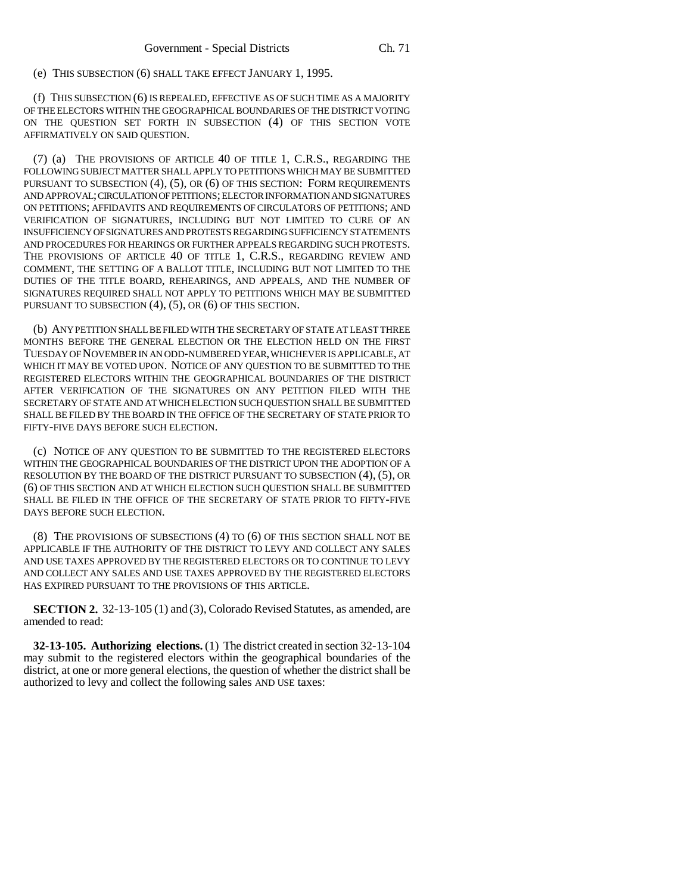(e) THIS SUBSECTION (6) SHALL TAKE EFFECT JANUARY 1, 1995.

(f) THIS SUBSECTION (6) IS REPEALED, EFFECTIVE AS OF SUCH TIME AS A MAJORITY OF THE ELECTORS WITHIN THE GEOGRAPHICAL BOUNDARIES OF THE DISTRICT VOTING ON THE QUESTION SET FORTH IN SUBSECTION (4) OF THIS SECTION VOTE AFFIRMATIVELY ON SAID QUESTION.

(7) (a) THE PROVISIONS OF ARTICLE 40 OF TITLE 1, C.R.S., REGARDING THE FOLLOWING SUBJECT MATTER SHALL APPLY TO PETITIONS WHICH MAY BE SUBMITTED PURSUANT TO SUBSECTION (4), (5), OR (6) OF THIS SECTION: FORM REQUIREMENTS AND APPROVAL; CIRCULATION OF PETITIONS; ELECTOR INFORMATION AND SIGNATURES ON PETITIONS; AFFIDAVITS AND REQUIREMENTS OF CIRCULATORS OF PETITIONS; AND VERIFICATION OF SIGNATURES, INCLUDING BUT NOT LIMITED TO CURE OF AN INSUFFICIENCY OF SIGNATURES AND PROTESTS REGARDING SUFFICIENCY STATEMENTS AND PROCEDURES FOR HEARINGS OR FURTHER APPEALS REGARDING SUCH PROTESTS. THE PROVISIONS OF ARTICLE 40 OF TITLE 1, C.R.S., REGARDING REVIEW AND COMMENT, THE SETTING OF A BALLOT TITLE, INCLUDING BUT NOT LIMITED TO THE DUTIES OF THE TITLE BOARD, REHEARINGS, AND APPEALS, AND THE NUMBER OF SIGNATURES REQUIRED SHALL NOT APPLY TO PETITIONS WHICH MAY BE SUBMITTED PURSUANT TO SUBSECTION (4), (5), OR (6) OF THIS SECTION.

(b) ANY PETITION SHALL BE FILED WITH THE SECRETARY OF STATE AT LEAST THREE MONTHS BEFORE THE GENERAL ELECTION OR THE ELECTION HELD ON THE FIRST TUESDAY OF NOVEMBER IN AN ODD-NUMBERED YEAR, WHICHEVER IS APPLICABLE, AT WHICH IT MAY BE VOTED UPON. NOTICE OF ANY QUESTION TO BE SUBMITTED TO THE REGISTERED ELECTORS WITHIN THE GEOGRAPHICAL BOUNDARIES OF THE DISTRICT AFTER VERIFICATION OF THE SIGNATURES ON ANY PETITION FILED WITH THE SECRETARY OF STATE AND AT WHICH ELECTION SUCH QUESTION SHALL BE SUBMITTED SHALL BE FILED BY THE BOARD IN THE OFFICE OF THE SECRETARY OF STATE PRIOR TO FIFTY-FIVE DAYS BEFORE SUCH ELECTION.

(c) NOTICE OF ANY QUESTION TO BE SUBMITTED TO THE REGISTERED ELECTORS WITHIN THE GEOGRAPHICAL BOUNDARIES OF THE DISTRICT UPON THE ADOPTION OF A RESOLUTION BY THE BOARD OF THE DISTRICT PURSUANT TO SUBSECTION (4), (5), OR (6) OF THIS SECTION AND AT WHICH ELECTION SUCH QUESTION SHALL BE SUBMITTED SHALL BE FILED IN THE OFFICE OF THE SECRETARY OF STATE PRIOR TO FIFTY-FIVE DAYS BEFORE SUCH ELECTION.

(8) THE PROVISIONS OF SUBSECTIONS (4) TO (6) OF THIS SECTION SHALL NOT BE APPLICABLE IF THE AUTHORITY OF THE DISTRICT TO LEVY AND COLLECT ANY SALES AND USE TAXES APPROVED BY THE REGISTERED ELECTORS OR TO CONTINUE TO LEVY AND COLLECT ANY SALES AND USE TAXES APPROVED BY THE REGISTERED ELECTORS HAS EXPIRED PURSUANT TO THE PROVISIONS OF THIS ARTICLE.

**SECTION 2.** 32-13-105 (1) and (3), Colorado Revised Statutes, as amended, are amended to read:

**32-13-105. Authorizing elections.** (1) The district created in section 32-13-104 may submit to the registered electors within the geographical boundaries of the district, at one or more general elections, the question of whether the district shall be authorized to levy and collect the following sales AND USE taxes: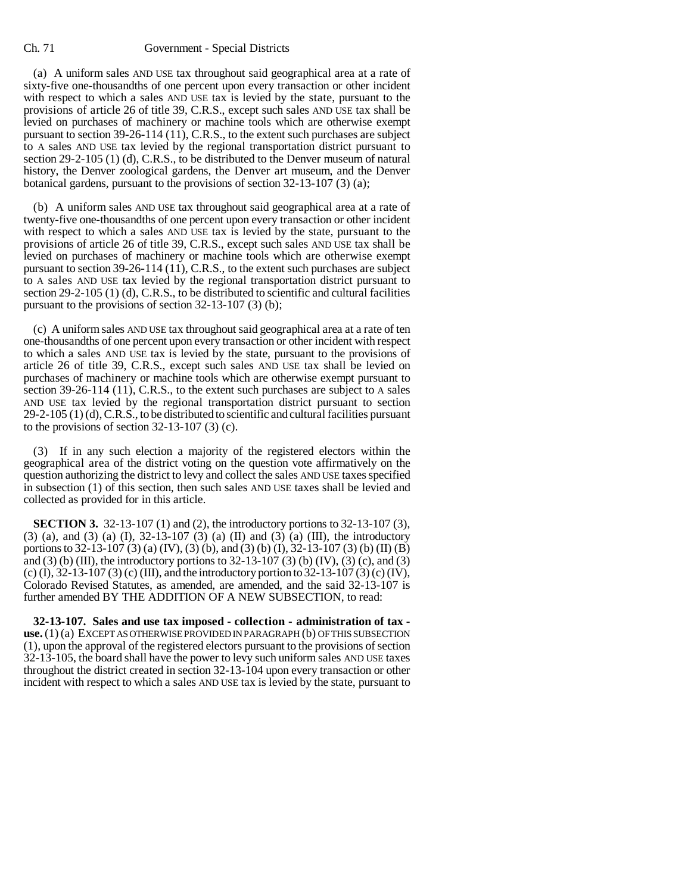#### Ch. 71 Government - Special Districts

(a) A uniform sales AND USE tax throughout said geographical area at a rate of sixty-five one-thousandths of one percent upon every transaction or other incident with respect to which a sales AND USE tax is levied by the state, pursuant to the provisions of article 26 of title 39, C.R.S., except such sales AND USE tax shall be levied on purchases of machinery or machine tools which are otherwise exempt pursuant to section 39-26-114 (11), C.R.S., to the extent such purchases are subject to A sales AND USE tax levied by the regional transportation district pursuant to section 29-2-105 (1) (d), C.R.S., to be distributed to the Denver museum of natural history, the Denver zoological gardens, the Denver art museum, and the Denver botanical gardens, pursuant to the provisions of section 32-13-107 (3) (a);

(b) A uniform sales AND USE tax throughout said geographical area at a rate of twenty-five one-thousandths of one percent upon every transaction or other incident with respect to which a sales AND USE tax is levied by the state, pursuant to the provisions of article 26 of title 39, C.R.S., except such sales AND USE tax shall be levied on purchases of machinery or machine tools which are otherwise exempt pursuant to section 39-26-114 (11), C.R.S., to the extent such purchases are subject to A sales AND USE tax levied by the regional transportation district pursuant to section 29-2-105 (1) (d), C.R.S., to be distributed to scientific and cultural facilities pursuant to the provisions of section 32-13-107 (3) (b);

(c) A uniform sales AND USE tax throughout said geographical area at a rate of ten one-thousandths of one percent upon every transaction or other incident with respect to which a sales AND USE tax is levied by the state, pursuant to the provisions of article 26 of title 39, C.R.S., except such sales AND USE tax shall be levied on purchases of machinery or machine tools which are otherwise exempt pursuant to section 39-26-114 (11), C.R.S., to the extent such purchases are subject to A sales AND USE tax levied by the regional transportation district pursuant to section 29-2-105 (1) (d), C.R.S., to be distributed to scientific and cultural facilities pursuant to the provisions of section  $32-13-107$  (3) (c).

(3) If in any such election a majority of the registered electors within the geographical area of the district voting on the question vote affirmatively on the question authorizing the district to levy and collect the sales AND USE taxes specified in subsection (1) of this section, then such sales AND USE taxes shall be levied and collected as provided for in this article.

**SECTION 3.** 32-13-107 (1) and (2), the introductory portions to 32-13-107 (3), (3) (a), and (3) (a) (I), 32-13-107 (3) (a) (II) and (3) (a) (III), the introductory portions to 32-13-107 (3) (a) (IV), (3) (b), and (3) (b) (I), 32-13-107 (3) (b) (II) (B) and (3) (b) (III), the introductory portions to  $32-13-107$  (3) (b) (IV), (3) (c), and (3) (c) (I), 32-13-107 (3) (c) (III), and the introductory portion to 32-13-107 (3) (c) (IV), Colorado Revised Statutes, as amended, are amended, and the said 32-13-107 is further amended BY THE ADDITION OF A NEW SUBSECTION, to read:

**32-13-107. Sales and use tax imposed - collection - administration of tax use.** (1) (a) EXCEPT AS OTHERWISE PROVIDED IN PARAGRAPH (b) OF THIS SUBSECTION (1), upon the approval of the registered electors pursuant to the provisions of section 32-13-105, the board shall have the power to levy such uniform sales AND USE taxes throughout the district created in section 32-13-104 upon every transaction or other incident with respect to which a sales AND USE tax is levied by the state, pursuant to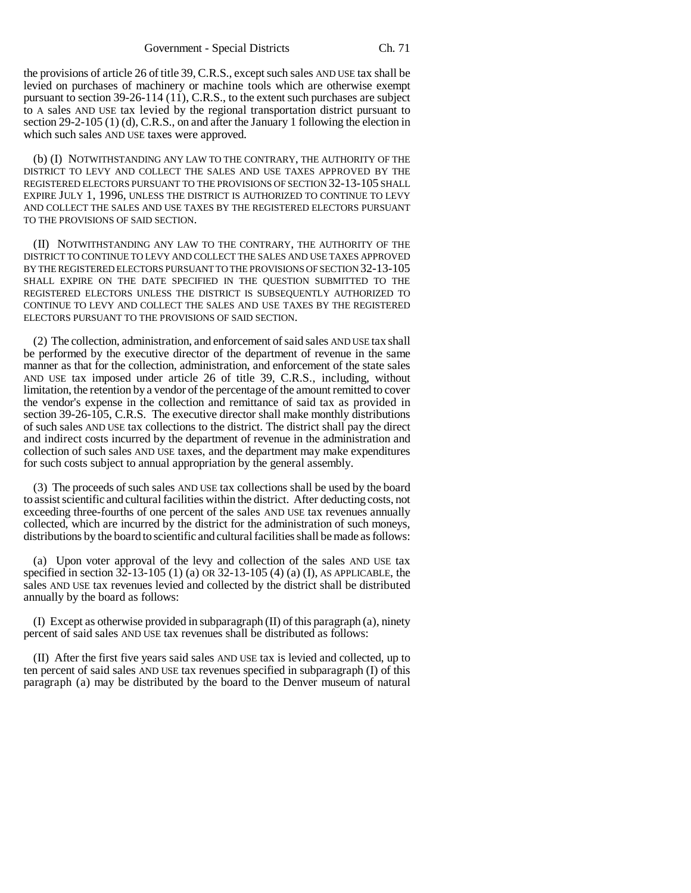the provisions of article 26 of title 39, C.R.S., except such sales AND USE tax shall be levied on purchases of machinery or machine tools which are otherwise exempt pursuant to section 39-26-114 (11), C.R.S., to the extent such purchases are subject to A sales AND USE tax levied by the regional transportation district pursuant to section 29-2-105 (1) (d), C.R.S., on and after the January 1 following the election in which such sales AND USE taxes were approved.

(b) (I) NOTWITHSTANDING ANY LAW TO THE CONTRARY, THE AUTHORITY OF THE DISTRICT TO LEVY AND COLLECT THE SALES AND USE TAXES APPROVED BY THE REGISTERED ELECTORS PURSUANT TO THE PROVISIONS OF SECTION 32-13-105 SHALL EXPIRE JULY 1, 1996, UNLESS THE DISTRICT IS AUTHORIZED TO CONTINUE TO LEVY AND COLLECT THE SALES AND USE TAXES BY THE REGISTERED ELECTORS PURSUANT TO THE PROVISIONS OF SAID SECTION.

(II) NOTWITHSTANDING ANY LAW TO THE CONTRARY, THE AUTHORITY OF THE DISTRICT TO CONTINUE TO LEVY AND COLLECT THE SALES AND USE TAXES APPROVED BY THE REGISTERED ELECTORS PURSUANT TO THE PROVISIONS OF SECTION 32-13-105 SHALL EXPIRE ON THE DATE SPECIFIED IN THE QUESTION SUBMITTED TO THE REGISTERED ELECTORS UNLESS THE DISTRICT IS SUBSEQUENTLY AUTHORIZED TO CONTINUE TO LEVY AND COLLECT THE SALES AND USE TAXES BY THE REGISTERED ELECTORS PURSUANT TO THE PROVISIONS OF SAID SECTION.

(2) The collection, administration, and enforcement of said sales AND USE tax shall be performed by the executive director of the department of revenue in the same manner as that for the collection, administration, and enforcement of the state sales AND USE tax imposed under article 26 of title 39, C.R.S., including, without limitation, the retention by a vendor of the percentage of the amount remitted to cover the vendor's expense in the collection and remittance of said tax as provided in section 39-26-105, C.R.S. The executive director shall make monthly distributions of such sales AND USE tax collections to the district. The district shall pay the direct and indirect costs incurred by the department of revenue in the administration and collection of such sales AND USE taxes, and the department may make expenditures for such costs subject to annual appropriation by the general assembly.

(3) The proceeds of such sales AND USE tax collections shall be used by the board to assist scientific and cultural facilities within the district. After deducting costs, not exceeding three-fourths of one percent of the sales AND USE tax revenues annually collected, which are incurred by the district for the administration of such moneys, distributions by the board to scientific and cultural facilities shall be made as follows:

(a) Upon voter approval of the levy and collection of the sales AND USE tax specified in section 32-13-105 (1) (a) OR 32-13-105 (4) (a) (I), AS APPLICABLE, the sales AND USE tax revenues levied and collected by the district shall be distributed annually by the board as follows:

(I) Except as otherwise provided in subparagraph  $(II)$  of this paragraph  $(a)$ , ninety percent of said sales AND USE tax revenues shall be distributed as follows:

(II) After the first five years said sales AND USE tax is levied and collected, up to ten percent of said sales AND USE tax revenues specified in subparagraph (I) of this paragraph (a) may be distributed by the board to the Denver museum of natural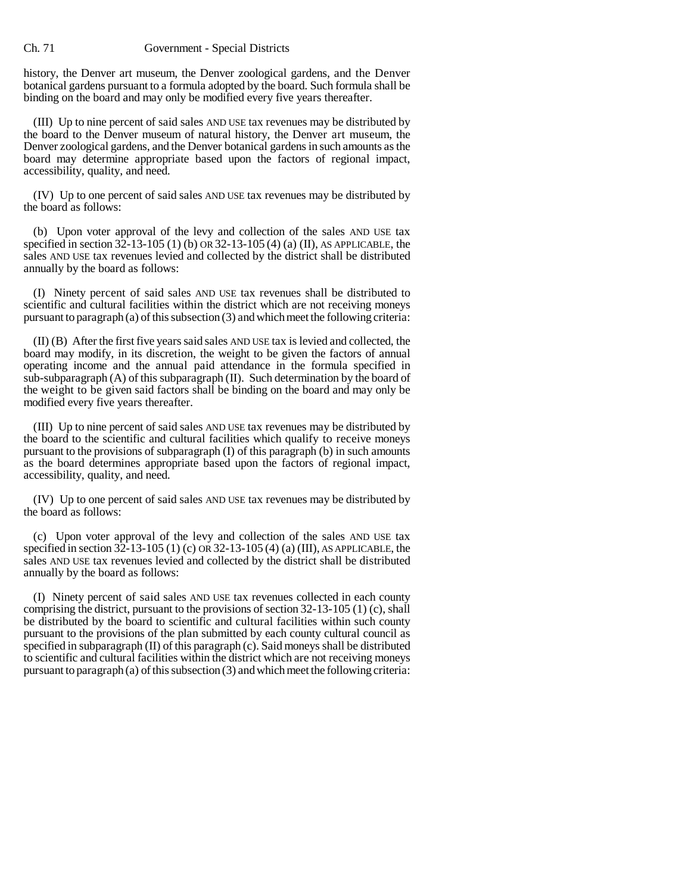#### Ch. 71 Government - Special Districts

history, the Denver art museum, the Denver zoological gardens, and the Denver botanical gardens pursuant to a formula adopted by the board. Such formula shall be binding on the board and may only be modified every five years thereafter.

(III) Up to nine percent of said sales AND USE tax revenues may be distributed by the board to the Denver museum of natural history, the Denver art museum, the Denver zoological gardens, and the Denver botanical gardens in such amounts as the board may determine appropriate based upon the factors of regional impact, accessibility, quality, and need.

(IV) Up to one percent of said sales AND USE tax revenues may be distributed by the board as follows:

(b) Upon voter approval of the levy and collection of the sales AND USE tax specified in section 32-13-105 (1) (b) OR 32-13-105 (4) (a) (II), AS APPLICABLE, the sales AND USE tax revenues levied and collected by the district shall be distributed annually by the board as follows:

(I) Ninety percent of said sales AND USE tax revenues shall be distributed to scientific and cultural facilities within the district which are not receiving moneys pursuant to paragraph (a) of this subsection (3) and which meet the following criteria:

(II) (B) After the first five years said sales AND USE tax is levied and collected, the board may modify, in its discretion, the weight to be given the factors of annual operating income and the annual paid attendance in the formula specified in sub-subparagraph (A) of this subparagraph (II). Such determination by the board of the weight to be given said factors shall be binding on the board and may only be modified every five years thereafter.

(III) Up to nine percent of said sales AND USE tax revenues may be distributed by the board to the scientific and cultural facilities which qualify to receive moneys pursuant to the provisions of subparagraph (I) of this paragraph (b) in such amounts as the board determines appropriate based upon the factors of regional impact, accessibility, quality, and need.

(IV) Up to one percent of said sales AND USE tax revenues may be distributed by the board as follows:

(c) Upon voter approval of the levy and collection of the sales AND USE tax specified in section 32-13-105 (1) (c) OR 32-13-105 (4) (a) (III), AS APPLICABLE, the sales AND USE tax revenues levied and collected by the district shall be distributed annually by the board as follows:

(I) Ninety percent of said sales AND USE tax revenues collected in each county comprising the district, pursuant to the provisions of section 32-13-105 (1) (c), shall be distributed by the board to scientific and cultural facilities within such county pursuant to the provisions of the plan submitted by each county cultural council as specified in subparagraph (II) of this paragraph (c). Said moneys shall be distributed to scientific and cultural facilities within the district which are not receiving moneys pursuant to paragraph (a) of this subsection (3) and which meet the following criteria: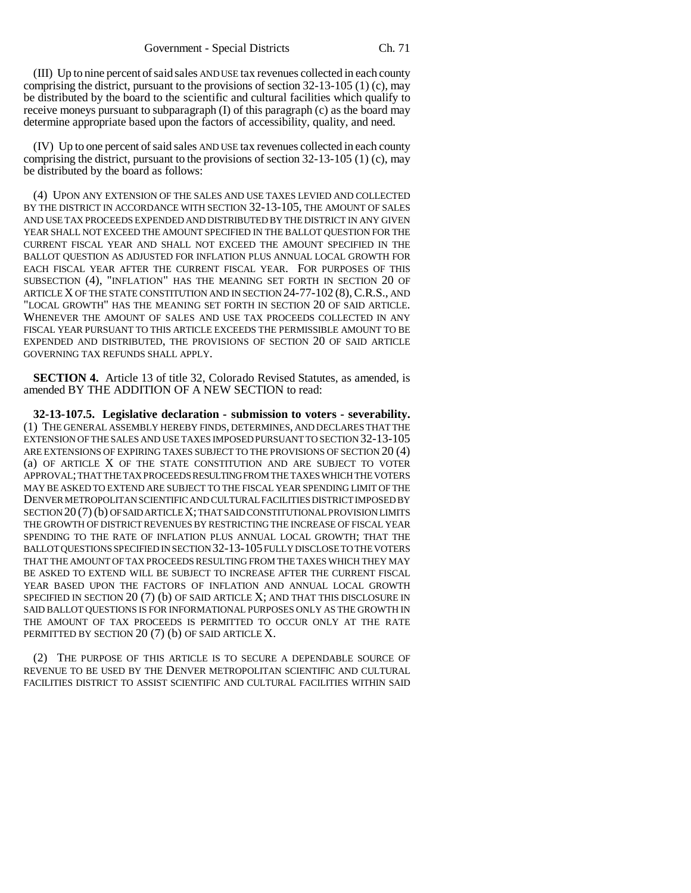(III) Up to nine percent of said sales AND USE tax revenues collected in each county comprising the district, pursuant to the provisions of section  $32-13-105$  (1) (c), may be distributed by the board to the scientific and cultural facilities which qualify to receive moneys pursuant to subparagraph (I) of this paragraph (c) as the board may determine appropriate based upon the factors of accessibility, quality, and need.

(IV) Up to one percent of said sales AND USE tax revenues collected in each county comprising the district, pursuant to the provisions of section 32-13-105 (1) (c), may be distributed by the board as follows:

(4) UPON ANY EXTENSION OF THE SALES AND USE TAXES LEVIED AND COLLECTED BY THE DISTRICT IN ACCORDANCE WITH SECTION 32-13-105, THE AMOUNT OF SALES AND USE TAX PROCEEDS EXPENDED AND DISTRIBUTED BY THE DISTRICT IN ANY GIVEN YEAR SHALL NOT EXCEED THE AMOUNT SPECIFIED IN THE BALLOT QUESTION FOR THE CURRENT FISCAL YEAR AND SHALL NOT EXCEED THE AMOUNT SPECIFIED IN THE BALLOT QUESTION AS ADJUSTED FOR INFLATION PLUS ANNUAL LOCAL GROWTH FOR EACH FISCAL YEAR AFTER THE CURRENT FISCAL YEAR. FOR PURPOSES OF THIS SUBSECTION (4), "INFLATION" HAS THE MEANING SET FORTH IN SECTION 20 OF ARTICLE X OF THE STATE CONSTITUTION AND IN SECTION 24-77-102 (8), C.R.S., AND "LOCAL GROWTH" HAS THE MEANING SET FORTH IN SECTION 20 OF SAID ARTICLE. WHENEVER THE AMOUNT OF SALES AND USE TAX PROCEEDS COLLECTED IN ANY FISCAL YEAR PURSUANT TO THIS ARTICLE EXCEEDS THE PERMISSIBLE AMOUNT TO BE EXPENDED AND DISTRIBUTED, THE PROVISIONS OF SECTION 20 OF SAID ARTICLE GOVERNING TAX REFUNDS SHALL APPLY.

**SECTION 4.** Article 13 of title 32, Colorado Revised Statutes, as amended, is amended BY THE ADDITION OF A NEW SECTION to read:

**32-13-107.5. Legislative declaration - submission to voters - severability.** (1) THE GENERAL ASSEMBLY HEREBY FINDS, DETERMINES, AND DECLARES THAT THE EXTENSION OF THE SALES AND USE TAXES IMPOSED PURSUANT TO SECTION 32-13-105 ARE EXTENSIONS OF EXPIRING TAXES SUBJECT TO THE PROVISIONS OF SECTION 20 (4) (a) OF ARTICLE X OF THE STATE CONSTITUTION AND ARE SUBJECT TO VOTER APPROVAL; THAT THE TAX PROCEEDS RESULTING FROM THE TAXES WHICH THE VOTERS MAY BE ASKED TO EXTEND ARE SUBJECT TO THE FISCAL YEAR SPENDING LIMIT OF THE DENVER METROPOLITAN SCIENTIFIC AND CULTURAL FACILITIES DISTRICT IMPOSED BY SECTION 20 (7) (b) OF SAID ARTICLE X; THAT SAID CONSTITUTIONAL PROVISION LIMITS THE GROWTH OF DISTRICT REVENUES BY RESTRICTING THE INCREASE OF FISCAL YEAR SPENDING TO THE RATE OF INFLATION PLUS ANNUAL LOCAL GROWTH; THAT THE BALLOT QUESTIONS SPECIFIED IN SECTION 32-13-105 FULLY DISCLOSE TO THE VOTERS THAT THE AMOUNT OF TAX PROCEEDS RESULTING FROM THE TAXES WHICH THEY MAY BE ASKED TO EXTEND WILL BE SUBJECT TO INCREASE AFTER THE CURRENT FISCAL YEAR BASED UPON THE FACTORS OF INFLATION AND ANNUAL LOCAL GROWTH SPECIFIED IN SECTION 20 (7) (b) OF SAID ARTICLE X; AND THAT THIS DISCLOSURE IN SAID BALLOT QUESTIONS IS FOR INFORMATIONAL PURPOSES ONLY AS THE GROWTH IN THE AMOUNT OF TAX PROCEEDS IS PERMITTED TO OCCUR ONLY AT THE RATE PERMITTED BY SECTION 20 (7) (b) OF SAID ARTICLE X.

(2) THE PURPOSE OF THIS ARTICLE IS TO SECURE A DEPENDABLE SOURCE OF REVENUE TO BE USED BY THE DENVER METROPOLITAN SCIENTIFIC AND CULTURAL FACILITIES DISTRICT TO ASSIST SCIENTIFIC AND CULTURAL FACILITIES WITHIN SAID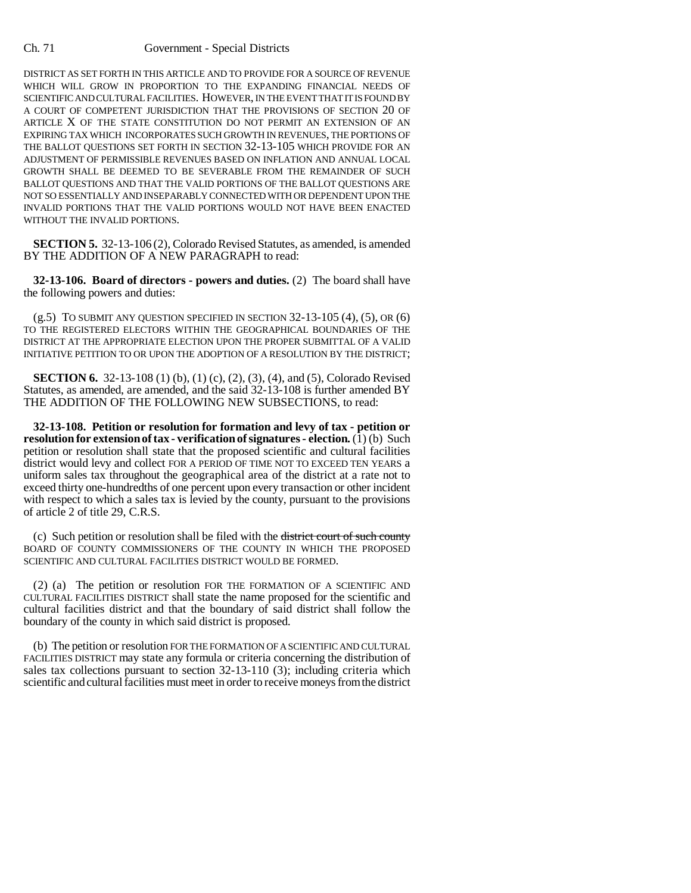DISTRICT AS SET FORTH IN THIS ARTICLE AND TO PROVIDE FOR A SOURCE OF REVENUE WHICH WILL GROW IN PROPORTION TO THE EXPANDING FINANCIAL NEEDS OF SCIENTIFIC AND CULTURAL FACILITIES. HOWEVER, IN THE EVENT THAT IT IS FOUND BY A COURT OF COMPETENT JURISDICTION THAT THE PROVISIONS OF SECTION 20 OF ARTICLE X OF THE STATE CONSTITUTION DO NOT PERMIT AN EXTENSION OF AN EXPIRING TAX WHICH INCORPORATES SUCH GROWTH IN REVENUES, THE PORTIONS OF THE BALLOT QUESTIONS SET FORTH IN SECTION 32-13-105 WHICH PROVIDE FOR AN ADJUSTMENT OF PERMISSIBLE REVENUES BASED ON INFLATION AND ANNUAL LOCAL GROWTH SHALL BE DEEMED TO BE SEVERABLE FROM THE REMAINDER OF SUCH BALLOT QUESTIONS AND THAT THE VALID PORTIONS OF THE BALLOT QUESTIONS ARE NOT SO ESSENTIALLY AND INSEPARABLY CONNECTED WITH OR DEPENDENT UPON THE INVALID PORTIONS THAT THE VALID PORTIONS WOULD NOT HAVE BEEN ENACTED WITHOUT THE INVALID PORTIONS.

**SECTION 5.** 32-13-106 (2), Colorado Revised Statutes, as amended, is amended BY THE ADDITION OF A NEW PARAGRAPH to read:

**32-13-106. Board of directors - powers and duties.** (2) The board shall have the following powers and duties:

 $(g.5)$  TO SUBMIT ANY QUESTION SPECIFIED IN SECTION 32-13-105  $(4)$ ,  $(5)$ , OR  $(6)$ TO THE REGISTERED ELECTORS WITHIN THE GEOGRAPHICAL BOUNDARIES OF THE DISTRICT AT THE APPROPRIATE ELECTION UPON THE PROPER SUBMITTAL OF A VALID INITIATIVE PETITION TO OR UPON THE ADOPTION OF A RESOLUTION BY THE DISTRICT;

**SECTION 6.** 32-13-108 (1) (b), (1) (c), (2), (3), (4), and (5), Colorado Revised Statutes, as amended, are amended, and the said 32-13-108 is further amended BY THE ADDITION OF THE FOLLOWING NEW SUBSECTIONS, to read:

**32-13-108. Petition or resolution for formation and levy of tax - petition or resolution for extension of tax - verification of signatures - election.** (1) (b) Such petition or resolution shall state that the proposed scientific and cultural facilities district would levy and collect FOR A PERIOD OF TIME NOT TO EXCEED TEN YEARS a uniform sales tax throughout the geographical area of the district at a rate not to exceed thirty one-hundredths of one percent upon every transaction or other incident with respect to which a sales tax is levied by the county, pursuant to the provisions of article 2 of title 29, C.R.S.

(c) Such petition or resolution shall be filed with the district court of such county BOARD OF COUNTY COMMISSIONERS OF THE COUNTY IN WHICH THE PROPOSED SCIENTIFIC AND CULTURAL FACILITIES DISTRICT WOULD BE FORMED.

(2) (a) The petition or resolution FOR THE FORMATION OF A SCIENTIFIC AND CULTURAL FACILITIES DISTRICT shall state the name proposed for the scientific and cultural facilities district and that the boundary of said district shall follow the boundary of the county in which said district is proposed.

(b) The petition or resolution FOR THE FORMATION OF A SCIENTIFIC AND CULTURAL FACILITIES DISTRICT may state any formula or criteria concerning the distribution of sales tax collections pursuant to section 32-13-110 (3); including criteria which scientific and cultural facilities must meet in order to receive moneys from the district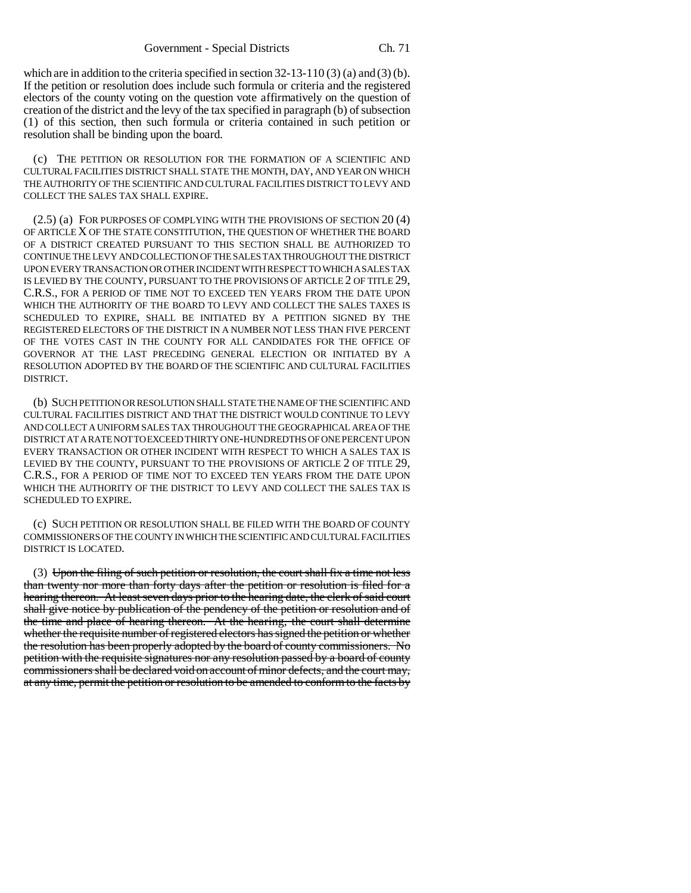which are in addition to the criteria specified in section  $32-13-110(3)(a)$  and  $(3)(b)$ . If the petition or resolution does include such formula or criteria and the registered electors of the county voting on the question vote affirmatively on the question of creation of the district and the levy of the tax specified in paragraph (b) of subsection (1) of this section, then such formula or criteria contained in such petition or resolution shall be binding upon the board.

(c) THE PETITION OR RESOLUTION FOR THE FORMATION OF A SCIENTIFIC AND CULTURAL FACILITIES DISTRICT SHALL STATE THE MONTH, DAY, AND YEAR ON WHICH THE AUTHORITY OF THE SCIENTIFIC AND CULTURAL FACILITIES DISTRICT TO LEVY AND COLLECT THE SALES TAX SHALL EXPIRE.

(2.5) (a) FOR PURPOSES OF COMPLYING WITH THE PROVISIONS OF SECTION 20 (4) OF ARTICLE X OF THE STATE CONSTITUTION, THE QUESTION OF WHETHER THE BOARD OF A DISTRICT CREATED PURSUANT TO THIS SECTION SHALL BE AUTHORIZED TO CONTINUE THE LEVY AND COLLECTION OF THE SALES TAX THROUGHOUT THE DISTRICT UPON EVERY TRANSACTION OR OTHER INCIDENT WITH RESPECT TO WHICH A SALES TAX IS LEVIED BY THE COUNTY, PURSUANT TO THE PROVISIONS OF ARTICLE 2 OF TITLE 29, C.R.S., FOR A PERIOD OF TIME NOT TO EXCEED TEN YEARS FROM THE DATE UPON WHICH THE AUTHORITY OF THE BOARD TO LEVY AND COLLECT THE SALES TAXES IS SCHEDULED TO EXPIRE, SHALL BE INITIATED BY A PETITION SIGNED BY THE REGISTERED ELECTORS OF THE DISTRICT IN A NUMBER NOT LESS THAN FIVE PERCENT OF THE VOTES CAST IN THE COUNTY FOR ALL CANDIDATES FOR THE OFFICE OF GOVERNOR AT THE LAST PRECEDING GENERAL ELECTION OR INITIATED BY A RESOLUTION ADOPTED BY THE BOARD OF THE SCIENTIFIC AND CULTURAL FACILITIES DISTRICT.

(b) SUCH PETITION OR RESOLUTION SHALL STATE THE NAME OF THE SCIENTIFIC AND CULTURAL FACILITIES DISTRICT AND THAT THE DISTRICT WOULD CONTINUE TO LEVY AND COLLECT A UNIFORM SALES TAX THROUGHOUT THE GEOGRAPHICAL AREA OF THE DISTRICT AT A RATE NOT TO EXCEED THIRTY ONE-HUNDREDTHS OF ONE PERCENT UPON EVERY TRANSACTION OR OTHER INCIDENT WITH RESPECT TO WHICH A SALES TAX IS LEVIED BY THE COUNTY, PURSUANT TO THE PROVISIONS OF ARTICLE 2 OF TITLE 29, C.R.S., FOR A PERIOD OF TIME NOT TO EXCEED TEN YEARS FROM THE DATE UPON WHICH THE AUTHORITY OF THE DISTRICT TO LEVY AND COLLECT THE SALES TAX IS SCHEDULED TO EXPIRE.

(c) SUCH PETITION OR RESOLUTION SHALL BE FILED WITH THE BOARD OF COUNTY COMMISSIONERS OF THE COUNTY IN WHICH THE SCIENTIFIC AND CULTURAL FACILITIES DISTRICT IS LOCATED.

(3) Upon the filing of such petition or resolution, the court shall fix a time not less than twenty nor more than forty days after the petition or resolution is filed for a hearing thereon. At least seven days prior to the hearing date, the clerk of said court shall give notice by publication of the pendency of the petition or resolution and of the time and place of hearing thereon. At the hearing, the court shall determine whether the requisite number of registered electors has signed the petition or whether the resolution has been properly adopted by the board of county commissioners. No petition with the requisite signatures nor any resolution passed by a board of county commissioners shall be declared void on account of minor defects, and the court may, at any time, permit the petition or resolution to be amended to conform to the facts by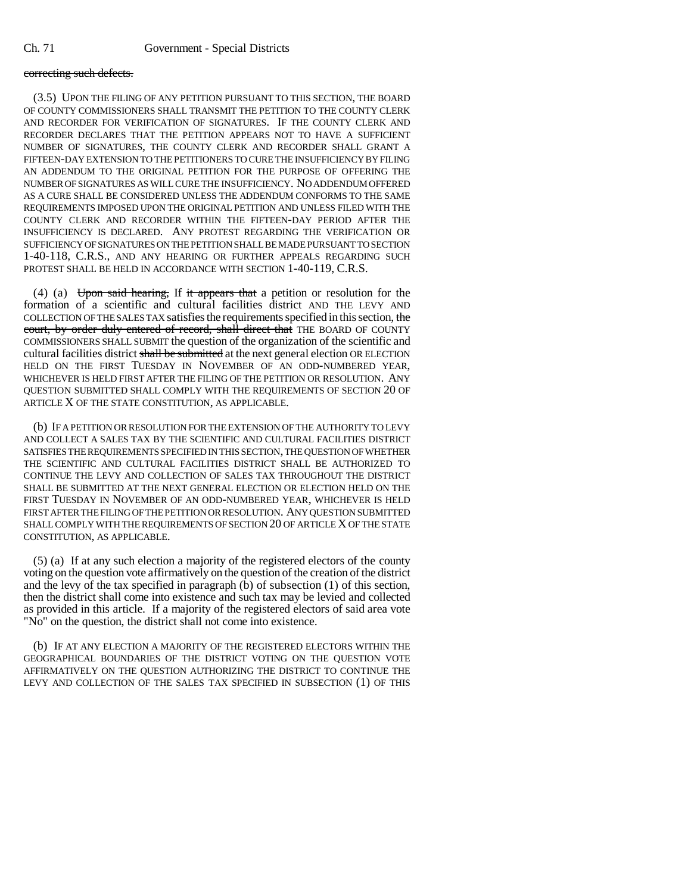#### correcting such defects.

(3.5) UPON THE FILING OF ANY PETITION PURSUANT TO THIS SECTION, THE BOARD OF COUNTY COMMISSIONERS SHALL TRANSMIT THE PETITION TO THE COUNTY CLERK AND RECORDER FOR VERIFICATION OF SIGNATURES. IF THE COUNTY CLERK AND RECORDER DECLARES THAT THE PETITION APPEARS NOT TO HAVE A SUFFICIENT NUMBER OF SIGNATURES, THE COUNTY CLERK AND RECORDER SHALL GRANT A FIFTEEN-DAY EXTENSION TO THE PETITIONERS TO CURE THE INSUFFICIENCY BY FILING AN ADDENDUM TO THE ORIGINAL PETITION FOR THE PURPOSE OF OFFERING THE NUMBER OF SIGNATURES AS WILL CURE THE INSUFFICIENCY. NO ADDENDUM OFFERED AS A CURE SHALL BE CONSIDERED UNLESS THE ADDENDUM CONFORMS TO THE SAME REQUIREMENTS IMPOSED UPON THE ORIGINAL PETITION AND UNLESS FILED WITH THE COUNTY CLERK AND RECORDER WITHIN THE FIFTEEN-DAY PERIOD AFTER THE INSUFFICIENCY IS DECLARED. ANY PROTEST REGARDING THE VERIFICATION OR SUFFICIENCY OF SIGNATURES ON THE PETITION SHALL BE MADE PURSUANT TO SECTION 1-40-118, C.R.S., AND ANY HEARING OR FURTHER APPEALS REGARDING SUCH PROTEST SHALL BE HELD IN ACCORDANCE WITH SECTION 1-40-119, C.R.S.

(4) (a) Upon said hearing, If it appears that a petition or resolution for the formation of a scientific and cultural facilities district AND THE LEVY AND COLLECTION OF THE SALES TAX satisfies the requirements specified in this section, the court, by order duly entered of record, shall direct that THE BOARD OF COUNTY COMMISSIONERS SHALL SUBMIT the question of the organization of the scientific and cultural facilities district shall be submitted at the next general election OR ELECTION HELD ON THE FIRST TUESDAY IN NOVEMBER OF AN ODD-NUMBERED YEAR, WHICHEVER IS HELD FIRST AFTER THE FILING OF THE PETITION OR RESOLUTION. ANY QUESTION SUBMITTED SHALL COMPLY WITH THE REQUIREMENTS OF SECTION 20 OF ARTICLE X OF THE STATE CONSTITUTION, AS APPLICABLE.

(b) IF A PETITION OR RESOLUTION FOR THE EXTENSION OF THE AUTHORITY TO LEVY AND COLLECT A SALES TAX BY THE SCIENTIFIC AND CULTURAL FACILITIES DISTRICT SATISFIES THE REQUIREMENTS SPECIFIED IN THIS SECTION, THE QUESTION OF WHETHER THE SCIENTIFIC AND CULTURAL FACILITIES DISTRICT SHALL BE AUTHORIZED TO CONTINUE THE LEVY AND COLLECTION OF SALES TAX THROUGHOUT THE DISTRICT SHALL BE SUBMITTED AT THE NEXT GENERAL ELECTION OR ELECTION HELD ON THE FIRST TUESDAY IN NOVEMBER OF AN ODD-NUMBERED YEAR, WHICHEVER IS HELD FIRST AFTER THE FILING OF THE PETITION OR RESOLUTION. ANY QUESTION SUBMITTED SHALL COMPLY WITH THE REQUIREMENTS OF SECTION 20 OF ARTICLE X OF THE STATE CONSTITUTION, AS APPLICABLE.

(5) (a) If at any such election a majority of the registered electors of the county voting on the question vote affirmatively on the question of the creation of the district and the levy of the tax specified in paragraph (b) of subsection (1) of this section, then the district shall come into existence and such tax may be levied and collected as provided in this article. If a majority of the registered electors of said area vote "No" on the question, the district shall not come into existence.

(b) IF AT ANY ELECTION A MAJORITY OF THE REGISTERED ELECTORS WITHIN THE GEOGRAPHICAL BOUNDARIES OF THE DISTRICT VOTING ON THE QUESTION VOTE AFFIRMATIVELY ON THE QUESTION AUTHORIZING THE DISTRICT TO CONTINUE THE LEVY AND COLLECTION OF THE SALES TAX SPECIFIED IN SUBSECTION (1) OF THIS